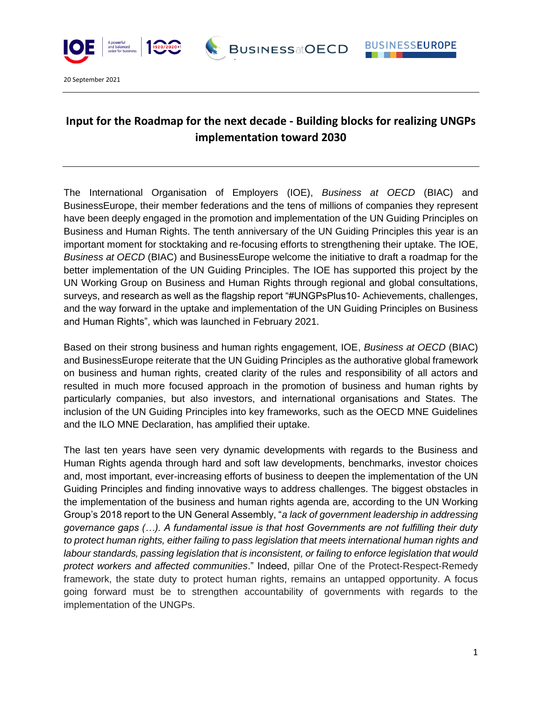

20 September 2021

## **Input for the Roadmap for the next decade - Building blocks for realizing UNGPs implementation toward 2030**

**BUSINESSatOECD** 

**BUSINESSEUROPE** 

The International Organisation of Employers (IOE), *Business at OECD* (BIAC) and BusinessEurope, their member federations and the tens of millions of companies they represent have been deeply engaged in the promotion and implementation of the UN Guiding Principles on Business and Human Rights. The tenth anniversary of the UN Guiding Principles this year is an important moment for stocktaking and re-focusing efforts to strengthening their uptake. The IOE, *Business at OECD* (BIAC) and BusinessEurope welcome the initiative to draft a roadmap for the better implementation of the UN Guiding Principles. The IOE has supported this project by the UN Working Group on Business and Human Rights through regional and global consultations, surveys, and research as well as the flagship report "#UNGPsPlus10- Achievements, challenges, and the way forward in the uptake and implementation of the UN Guiding Principles on Business and Human Rights", which was launched in February 2021.

Based on their strong business and human rights engagement, IOE, *Business at OECD* (BIAC) and BusinessEurope reiterate that the UN Guiding Principles as the authorative global framework on business and human rights, created clarity of the rules and responsibility of all actors and resulted in much more focused approach in the promotion of business and human rights by particularly companies, but also investors, and international organisations and States. The inclusion of the UN Guiding Principles into key frameworks, such as the OECD MNE Guidelines and the ILO MNE Declaration, has amplified their uptake.

The last ten years have seen very dynamic developments with regards to the Business and Human Rights agenda through hard and soft law developments, benchmarks, investor choices and, most important, ever-increasing efforts of business to deepen the implementation of the UN Guiding Principles and finding innovative ways to address challenges. The biggest obstacles in the implementation of the business and human rights agenda are, according to the UN Working Group's 2018 report to the UN General Assembly, "*a lack of government leadership in addressing governance gaps (…). A fundamental issue is that host Governments are not fulfilling their duty to protect human rights, either failing to pass legislation that meets international human rights and labour standards, passing legislation that is inconsistent, or failing to enforce legislation that would protect workers and affected communities*." Indeed, pillar One of the Protect-Respect-Remedy framework, the state duty to protect human rights, remains an untapped opportunity. A focus going forward must be to strengthen accountability of governments with regards to the implementation of the UNGPs.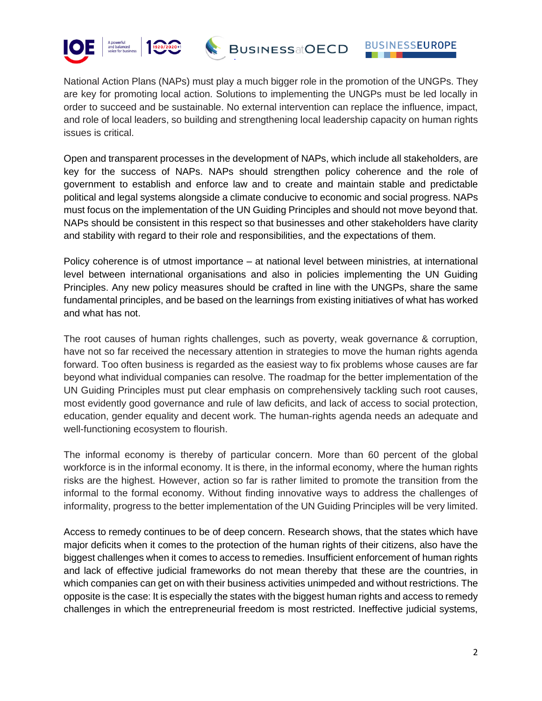



National Action Plans (NAPs) must play a much bigger role in the promotion of the UNGPs. They are key for promoting local action. Solutions to implementing the UNGPs must be led locally in order to succeed and be sustainable. No external intervention can replace the influence, impact, and role of local leaders, so building and strengthening local leadership capacity on human rights issues is critical.

Open and transparent processes in the development of NAPs, which include all stakeholders, are key for the success of NAPs. NAPs should strengthen policy coherence and the role of government to establish and enforce law and to create and maintain stable and predictable political and legal systems alongside a climate conducive to economic and social progress. NAPs must focus on the implementation of the UN Guiding Principles and should not move beyond that. NAPs should be consistent in this respect so that businesses and other stakeholders have clarity and stability with regard to their role and responsibilities, and the expectations of them.

Policy coherence is of utmost importance – at national level between ministries, at international level between international organisations and also in policies implementing the UN Guiding Principles. Any new policy measures should be crafted in line with the UNGPs, share the same fundamental principles, and be based on the learnings from existing initiatives of what has worked and what has not.

The root causes of human rights challenges, such as poverty, weak governance & corruption, have not so far received the necessary attention in strategies to move the human rights agenda forward. Too often business is regarded as the easiest way to fix problems whose causes are far beyond what individual companies can resolve. The roadmap for the better implementation of the UN Guiding Principles must put clear emphasis on comprehensively tackling such root causes, most evidently good governance and rule of law deficits, and lack of access to social protection, education, gender equality and decent work. The human-rights agenda needs an adequate and well-functioning ecosystem to flourish.

The informal economy is thereby of particular concern. More than 60 percent of the global workforce is in the informal economy. It is there, in the informal economy, where the human rights risks are the highest. However, action so far is rather limited to promote the transition from the informal to the formal economy. Without finding innovative ways to address the challenges of informality, progress to the better implementation of the UN Guiding Principles will be very limited.

Access to remedy continues to be of deep concern. Research shows, that the states which have major deficits when it comes to the protection of the human rights of their citizens, also have the biggest challenges when it comes to access to remedies. Insufficient enforcement of human rights and lack of effective judicial frameworks do not mean thereby that these are the countries, in which companies can get on with their business activities unimpeded and without restrictions. The opposite is the case: It is especially the states with the biggest human rights and access to remedy challenges in which the entrepreneurial freedom is most restricted. Ineffective judicial systems,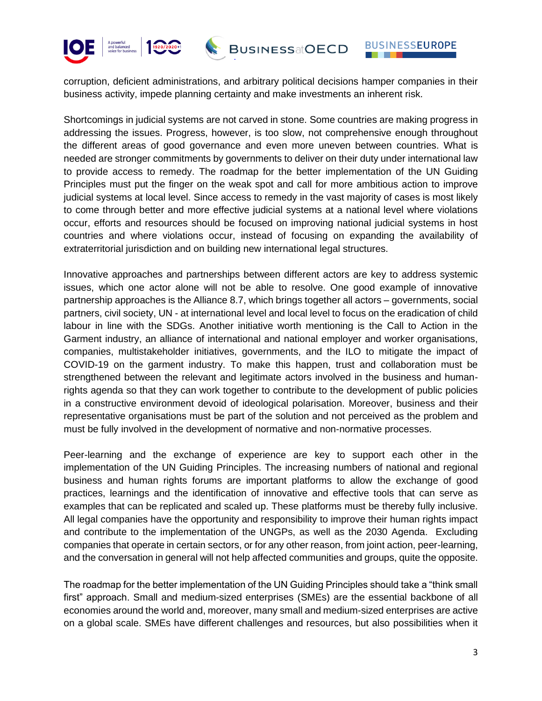



corruption, deficient administrations, and arbitrary political decisions hamper companies in their business activity, impede planning certainty and make investments an inherent risk.

Shortcomings in judicial systems are not carved in stone. Some countries are making progress in addressing the issues. Progress, however, is too slow, not comprehensive enough throughout the different areas of good governance and even more uneven between countries. What is needed are stronger commitments by governments to deliver on their duty under international law to provide access to remedy. The roadmap for the better implementation of the UN Guiding Principles must put the finger on the weak spot and call for more ambitious action to improve judicial systems at local level. Since access to remedy in the vast majority of cases is most likely to come through better and more effective judicial systems at a national level where violations occur, efforts and resources should be focused on improving national judicial systems in host countries and where violations occur, instead of focusing on expanding the availability of extraterritorial jurisdiction and on building new international legal structures.

Innovative approaches and partnerships between different actors are key to address systemic issues, which one actor alone will not be able to resolve. One good example of innovative partnership approaches is the Alliance 8.7, which brings together all actors – governments, social partners, civil society, UN - at international level and local level to focus on the eradication of child labour in line with the SDGs. Another initiative worth mentioning is the Call to Action in the Garment industry, an alliance of international and national employer and worker organisations, companies, multistakeholder initiatives, governments, and the ILO to mitigate the impact of COVID-19 on the garment industry. To make this happen, trust and collaboration must be strengthened between the relevant and legitimate actors involved in the business and humanrights agenda so that they can work together to contribute to the development of public policies in a constructive environment devoid of ideological polarisation. Moreover, business and their representative organisations must be part of the solution and not perceived as the problem and must be fully involved in the development of normative and non-normative processes.

Peer-learning and the exchange of experience are key to support each other in the implementation of the UN Guiding Principles. The increasing numbers of national and regional business and human rights forums are important platforms to allow the exchange of good practices, learnings and the identification of innovative and effective tools that can serve as examples that can be replicated and scaled up. These platforms must be thereby fully inclusive. All legal companies have the opportunity and responsibility to improve their human rights impact and contribute to the implementation of the UNGPs, as well as the 2030 Agenda. Excluding companies that operate in certain sectors, or for any other reason, from joint action, peer-learning, and the conversation in general will not help affected communities and groups, quite the opposite.

The roadmap for the better implementation of the UN Guiding Principles should take a "think small first" approach. Small and medium-sized enterprises (SMEs) are the essential backbone of all economies around the world and, moreover, many small and medium-sized enterprises are active on a global scale. SMEs have different challenges and resources, but also possibilities when it